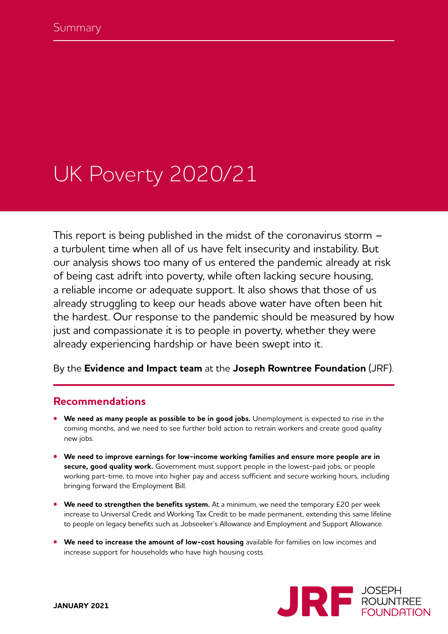# UK Poverty 2020/21

This report is being published in the midst of the coronavirus storm – a turbulent time when all of us have felt insecurity and instability. But our analysis shows too many of us entered the pandemic already at risk of being cast adrift into poverty, while often lacking secure housing, a reliable income or adequate support. It also shows that those of us already struggling to keep our heads above water have often been hit the hardest. Our response to the pandemic should be measured by how just and compassionate it is to people in poverty, whether they were already experiencing hardship or have been swept into it.

By the **Evidence and Impact team** at the **Joseph Rowntree Foundation** (JRF).

## **Recommendations**

- **• We need as many people as possible to be in good jobs.** Unemployment is expected to rise in the coming months, and we need to see further bold action to retrain workers and create good quality new jobs.
- **• We need to improve earnings for low-income working families and ensure more people are in secure, good quality work.** Government must support people in the lowest-paid jobs, or people working part-time, to move into higher pay and access sufficient and secure working hours, including bringing forward the Employment Bill.
- **• We need to strengthen the benefits system.** At a minimum, we need the temporary £20 per week increase to Universal Credit and Working Tax Credit to be made permanent, extending this same lifeline to people on legacy benefits such as Jobseeker's Allowance and Employment and Support Allowance.
- **• We need to increase the amount of low-cost housing** available for families on low incomes and increase support for households who have high housing costs.

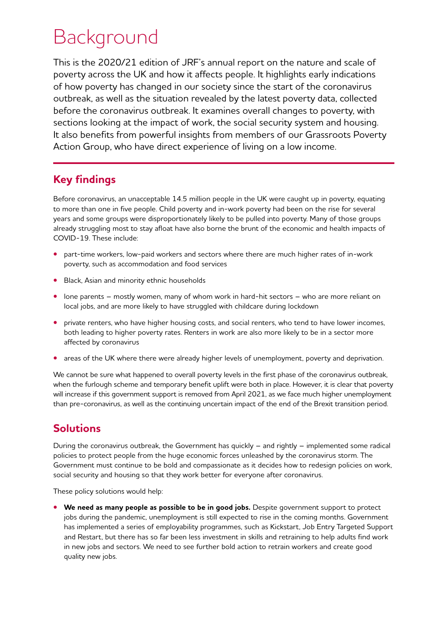## Background

This is the 2020/21 edition of JRF's annual report on the nature and scale of poverty across the UK and how it affects people. It highlights early indications of how poverty has changed in our society since the start of the coronavirus outbreak, as well as the situation revealed by the latest poverty data, collected before the coronavirus outbreak. It examines overall changes to poverty, with sections looking at the impact of work, the social security system and housing. It also benefits from powerful insights from members of our Grassroots Poverty Action Group, who have direct experience of living on a low income.

## **Key findings**

Before coronavirus, an unacceptable 14.5 million people in the UK were caught up in poverty, equating to more than one in five people. Child poverty and in-work poverty had been on the rise for several years and some groups were disproportionately likely to be pulled into poverty. Many of those groups already struggling most to stay afloat have also borne the brunt of the economic and health impacts of COVID-19. These include:

- **•** part-time workers, low-paid workers and sectors where there are much higher rates of in-work poverty, such as accommodation and food services
- **•** Black, Asian and minority ethnic households
- **•** lone parents mostly women, many of whom work in hard-hit sectors who are more reliant on local jobs, and are more likely to have struggled with childcare during lockdown
- **•** private renters, who have higher housing costs, and social renters, who tend to have lower incomes, both leading to higher poverty rates. Renters in work are also more likely to be in a sector more affected by coronavirus
- **•** areas of the UK where there were already higher levels of unemployment, poverty and deprivation.

We cannot be sure what happened to overall poverty levels in the first phase of the coronavirus outbreak, when the furlough scheme and temporary benefit uplift were both in place. However, it is clear that poverty will increase if this government support is removed from April 2021, as we face much higher unemployment than pre-coronavirus, as well as the continuing uncertain impact of the end of the Brexit transition period.

## **Solutions**

During the coronavirus outbreak, the Government has quickly – and rightly – implemented some radical policies to protect people from the huge economic forces unleashed by the coronavirus storm. The Government must continue to be bold and compassionate as it decides how to redesign policies on work, social security and housing so that they work better for everyone after coronavirus.

These policy solutions would help:

• We need as many people as possible to be in good jobs. Despite government support to protect jobs during the pandemic, unemployment is still expected to rise in the coming months. Government has implemented a series of employability programmes, such as Kickstart, Job Entry Targeted Support and Restart, but there has so far been less investment in skills and retraining to help adults find work in new jobs and sectors. We need to see further bold action to retrain workers and create good quality new jobs.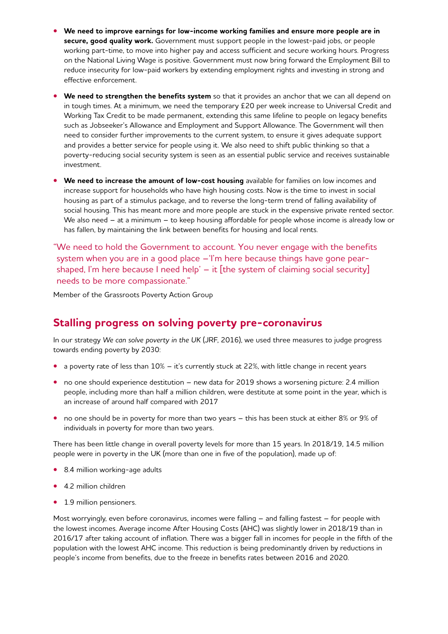- **• We need to improve earnings for low-income working families and ensure more people are in secure, good quality work.** Government must support people in the lowest-paid jobs, or people working part-time, to move into higher pay and access sufficient and secure working hours. Progress on the National Living Wage is positive. Government must now bring forward the Employment Bill to reduce insecurity for low-paid workers by extending employment rights and investing in strong and effective enforcement.
- **• We need to strengthen the benefits system** so that it provides an anchor that we can all depend on in tough times. At a minimum, we need the temporary £20 per week increase to Universal Credit and Working Tax Credit to be made permanent, extending this same lifeline to people on legacy benefits such as Jobseeker's Allowance and Employment and Support Allowance. The Government will then need to consider further improvements to the current system, to ensure it gives adequate support and provides a better service for people using it. We also need to shift public thinking so that a poverty-reducing social security system is seen as an essential public service and receives sustainable investment.
- **• We need to increase the amount of low-cost housing** available for families on low incomes and increase support for households who have high housing costs. Now is the time to invest in social housing as part of a stimulus package, and to reverse the long-term trend of falling availability of social housing. This has meant more and more people are stuck in the expensive private rented sector. We also need – at a minimum – to keep housing affordable for people whose income is already low or has fallen, by maintaining the link between benefits for housing and local rents.

"We need to hold the Government to account. You never engage with the benefits system when you are in a good place –'I'm here because things have gone pearshaped, I'm here because I need help' – it [the system of claiming social security] needs to be more compassionate."

Member of the Grassroots Poverty Action Group

#### **Stalling progress on solving poverty pre-coronavirus**

In our strategy *We can solve poverty in the UK* (JRF, 2016), we used three measures to judge progress towards ending poverty by 2030:

- **•** a poverty rate of less than 10% it's currently stuck at 22%, with little change in recent years
- no one should experience destitution new data for 2019 shows a worsening picture: 2.4 million people, including more than half a million children, were destitute at some point in the year, which is an increase of around half compared with 2017
- **•** no one should be in poverty for more than two years this has been stuck at either 8% or 9% of individuals in poverty for more than two years.

There has been little change in overall poverty levels for more than 15 years. In 2018/19, 14.5 million people were in poverty in the UK (more than one in five of the population), made up of:

- **•** 8.4 million working-age adults
- **•** 4.2 million children
- **•** 1.9 million pensioners.

Most worryingly, even before coronavirus, incomes were falling – and falling fastest – for people with the lowest incomes. Average income After Housing Costs (AHC) was slightly lower in 2018/19 than in 2016/17 after taking account of inflation. There was a bigger fall in incomes for people in the fifth of the population with the lowest AHC income. This reduction is being predominantly driven by reductions in people's income from benefits, due to the freeze in benefits rates between 2016 and 2020.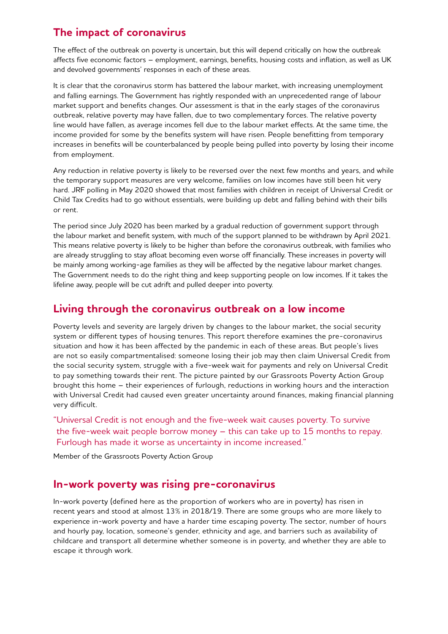## **The impact of coronavirus**

The effect of the outbreak on poverty is uncertain, but this will depend critically on how the outbreak affects five economic factors – employment, earnings, benefits, housing costs and inflation, as well as UK and devolved governments' responses in each of these areas.

It is clear that the coronavirus storm has battered the labour market, with increasing unemployment and falling earnings. The Government has rightly responded with an unprecedented range of labour market support and benefits changes. Our assessment is that in the early stages of the coronavirus outbreak, relative poverty may have fallen, due to two complementary forces. The relative poverty line would have fallen, as average incomes fell due to the labour market effects. At the same time, the income provided for some by the benefits system will have risen. People benefitting from temporary increases in benefits will be counterbalanced by people being pulled into poverty by losing their income from employment.

Any reduction in relative poverty is likely to be reversed over the next few months and years, and while the temporary support measures are very welcome, families on low incomes have still been hit very hard. JRF polling in May 2020 showed that most families with children in receipt of Universal Credit or Child Tax Credits had to go without essentials, were building up debt and falling behind with their bills or rent.

The period since July 2020 has been marked by a gradual reduction of government support through the labour market and benefit system, with much of the support planned to be withdrawn by April 2021. This means relative poverty is likely to be higher than before the coronavirus outbreak, with families who are already struggling to stay afloat becoming even worse off financially. These increases in poverty will be mainly among working-age families as they will be affected by the negative labour market changes. The Government needs to do the right thing and keep supporting people on low incomes. If it takes the lifeline away, people will be cut adrift and pulled deeper into poverty.

## **Living through the coronavirus outbreak on a low income**

Poverty levels and severity are largely driven by changes to the labour market, the social security system or different types of housing tenures. This report therefore examines the pre-coronavirus situation and how it has been affected by the pandemic in each of these areas. But people's lives are not so easily compartmentalised: someone losing their job may then claim Universal Credit from the social security system, struggle with a five-week wait for payments and rely on Universal Credit to pay something towards their rent. The picture painted by our Grassroots Poverty Action Group brought this home – their experiences of furlough, reductions in working hours and the interaction with Universal Credit had caused even greater uncertainty around finances, making financial planning very difficult.

"Universal Credit is not enough and the five-week wait causes poverty. To survive the five-week wait people borrow money – this can take up to 15 months to repay. Furlough has made it worse as uncertainty in income increased."

Member of the Grassroots Poverty Action Group

## **In-work poverty was rising pre-coronavirus**

In-work poverty (defined here as the proportion of workers who are in poverty) has risen in recent years and stood at almost 13% in 2018/19. There are some groups who are more likely to experience in-work poverty and have a harder time escaping poverty. The sector, number of hours and hourly pay, location, someone's gender, ethnicity and age, and barriers such as availability of childcare and transport all determine whether someone is in poverty, and whether they are able to escape it through work.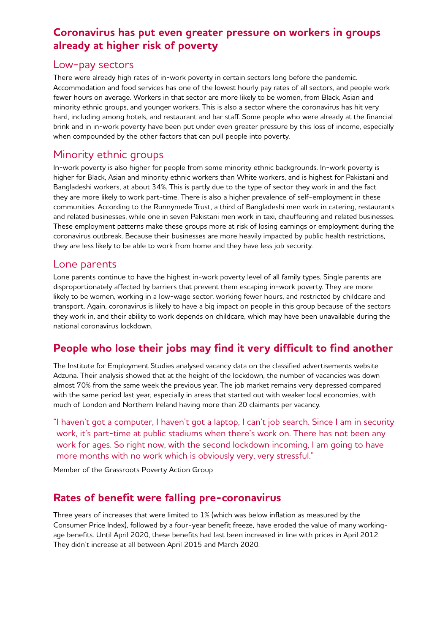## **Coronavirus has put even greater pressure on workers in groups already at higher risk of poverty**

#### Low-pay sectors

There were already high rates of in-work poverty in certain sectors long before the pandemic. Accommodation and food services has one of the lowest hourly pay rates of all sectors, and people work fewer hours on average. Workers in that sector are more likely to be women, from Black, Asian and minority ethnic groups, and younger workers. This is also a sector where the coronavirus has hit very hard, including among hotels, and restaurant and bar staff. Some people who were already at the financial brink and in in-work poverty have been put under even greater pressure by this loss of income, especially when compounded by the other factors that can pull people into poverty.

#### Minority ethnic groups

In-work poverty is also higher for people from some minority ethnic backgrounds. In-work poverty is higher for Black, Asian and minority ethnic workers than White workers, and is highest for Pakistani and Bangladeshi workers, at about 34%. This is partly due to the type of sector they work in and the fact they are more likely to work part-time. There is also a higher prevalence of self-employment in these communities. According to the Runnymede Trust, a third of Bangladeshi men work in catering, restaurants and related businesses, while one in seven Pakistani men work in taxi, chauffeuring and related businesses. These employment patterns make these groups more at risk of losing earnings or employment during the coronavirus outbreak. Because their businesses are more heavily impacted by public health restrictions, they are less likely to be able to work from home and they have less job security.

#### Lone parents

Lone parents continue to have the highest in-work poverty level of all family types. Single parents are disproportionately affected by barriers that prevent them escaping in-work poverty. They are more likely to be women, working in a low-wage sector, working fewer hours, and restricted by childcare and transport. Again, coronavirus is likely to have a big impact on people in this group because of the sectors they work in, and their ability to work depends on childcare, which may have been unavailable during the national coronavirus lockdown.

## **People who lose their jobs may find it very difficult to find another**

The Institute for Employment Studies analysed vacancy data on the classified advertisements website Adzuna. Their analysis showed that at the height of the lockdown, the number of vacancies was down almost 70% from the same week the previous year. The job market remains very depressed compared with the same period last year, especially in areas that started out with weaker local economies, with much of London and Northern Ireland having more than 20 claimants per vacancy.

"I haven't got a computer, I haven't got a laptop, I can't job search. Since I am in security work, it's part-time at public stadiums when there's work on. There has not been any work for ages. So right now, with the second lockdown incoming, I am going to have more months with no work which is obviously very, very stressful."

Member of the Grassroots Poverty Action Group

## **Rates of benefit were falling pre-coronavirus**

Three years of increases that were limited to 1% (which was below inflation as measured by the Consumer Price Index), followed by a four-year benefit freeze, have eroded the value of many workingage benefits. Until April 2020, these benefits had last been increased in line with prices in April 2012. They didn't increase at all between April 2015 and March 2020.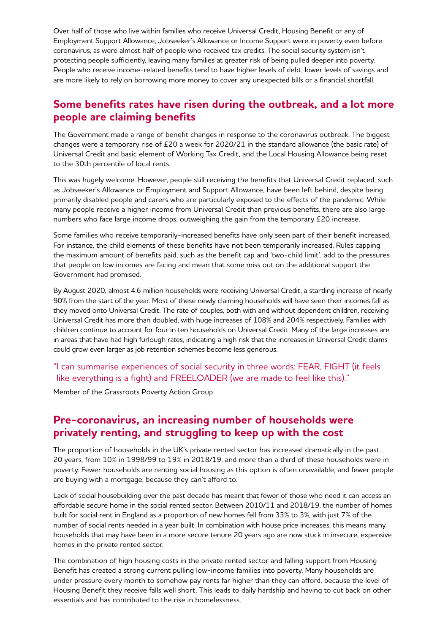Over half of those who live within families who receive Universal Credit, Housing Benefit or any of Employment Support Allowance, Jobseeker's Allowance or Income Support were in poverty even before coronavirus, as were almost half of people who received tax credits. The social security system isn't protecting people sufficiently, leaving many families at greater risk of being pulled deeper into poverty. People who receive income-related benefits tend to have higher levels of debt, lower levels of savings and are more likely to rely on borrowing more money to cover any unexpected bills or a financial shortfall.

## **Some benefits rates have risen during the outbreak, and a lot more people are claiming benefits**

The Government made a range of benefit changes in response to the coronavirus outbreak. The biggest changes were a temporary rise of £20 a week for 2020/21 in the standard allowance (the basic rate) of Universal Credit and basic element of Working Tax Credit, and the Local Housing Allowance being reset to the 30th percentile of local rents.

This was hugely welcome. However, people still receiving the benefits that Universal Credit replaced, such as Jobseeker's Allowance or Employment and Support Allowance, have been left behind, despite being primarily disabled people and carers who are particularly exposed to the effects of the pandemic. While many people receive a higher income from Universal Credit than previous benefits, there are also large numbers who face large income drops, outweighing the gain from the temporary £20 increase.

Some families who receive temporarily-increased benefits have only seen part of their benefit increased. For instance, the child elements of these benefits have not been temporarily increased. Rules capping the maximum amount of benefits paid, such as the benefit cap and 'two-child limit', add to the pressures that people on low incomes are facing and mean that some miss out on the additional support the Government had promised.

By August 2020, almost 4.6 million households were receiving Universal Credit, a startling increase of nearly 90% from the start of the year. Most of these newly claiming households will have seen their incomes fall as they moved onto Universal Credit. The rate of couples, both with and without dependent children, receiving Universal Credit has more than doubled, with huge increases of 108% and 204% respectively. Families with children continue to account for four in ten households on Universal Credit. Many of the large increases are in areas that have had high furlough rates, indicating a high risk that the increases in Universal Credit claims could grow even larger as job retention schemes become less generous.

"I can summarise experiences of social security in three words: FEAR, FIGHT (it feels like everything is a fight) and FREELOADER (we are made to feel like this)."

Member of the Grassroots Poverty Action Group

## **Pre-coronavirus, an increasing number of households were privately renting, and struggling to keep up with the cost**

The proportion of households in the UK's private rented sector has increased dramatically in the past 20 years, from 10% in 1998/99 to 19% in 2018/19, and more than a third of these households were in poverty. Fewer households are renting social housing as this option is often unavailable, and fewer people are buying with a mortgage, because they can't afford to.

Lack of social housebuilding over the past decade has meant that fewer of those who need it can access an affordable secure home in the social rented sector. Between 2010/11 and 2018/19, the number of homes built for social rent in England as a proportion of new homes fell from 33% to 3%, with just 7% of the number of social rents needed in a year built. In combination with house price increases, this means many households that may have been in a more secure tenure 20 years ago are now stuck in insecure, expensive homes in the private rented sector.

The combination of high housing costs in the private rented sector and falling support from Housing Benefit has created a strong current pulling low-income families into poverty. Many households are under pressure every month to somehow pay rents far higher than they can afford, because the level of Housing Benefit they receive falls well short. This leads to daily hardship and having to cut back on other essentials and has contributed to the rise in homelessness.